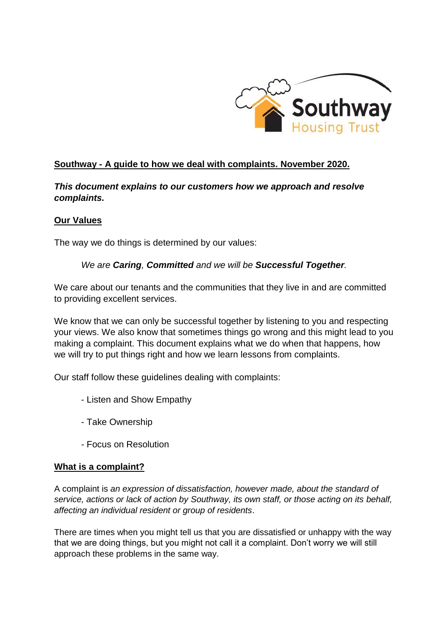

# **Southway - A guide to how we deal with complaints. November 2020.**

*This document explains to our customers how we approach and resolve complaints.*

## **Our Values**

The way we do things is determined by our values:

## *We are Caring, Committed and we will be Successful Together.*

We care about our tenants and the communities that they live in and are committed to providing excellent services.

We know that we can only be successful together by listening to you and respecting your views. We also know that sometimes things go wrong and this might lead to you making a complaint. This document explains what we do when that happens, how we will try to put things right and how we learn lessons from complaints.

Our staff follow these guidelines dealing with complaints:

- Listen and Show Empathy
- Take Ownership
- Focus on Resolution

#### **What is a complaint?**

A complaint is *an expression of dissatisfaction, however made, about the standard of service, actions or lack of action by Southway, its own staff, or those acting on its behalf, affecting an individual resident or group of residents*.

There are times when you might tell us that you are dissatisfied or unhappy with the way that we are doing things, but you might not call it a complaint. Don't worry we will still approach these problems in the same way.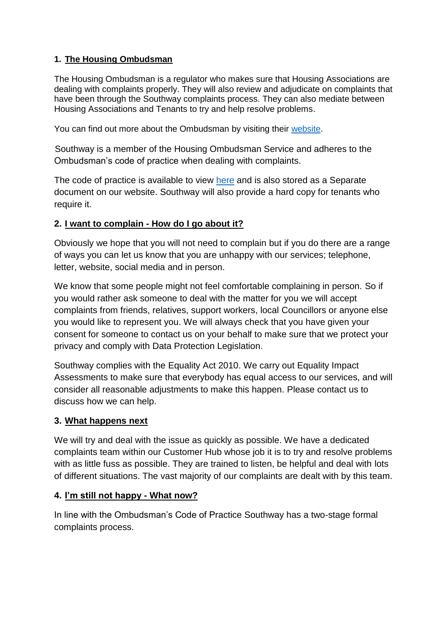# **1. The Housing Ombudsman**

The Housing Ombudsman is a regulator who makes sure that Housing Associations are dealing with complaints properly. They will also review and adjudicate on complaints that have been through the Southway complaints process. They can also mediate between Housing Associations and Tenants to try and help resolve problems.

You can find out more about the Ombudsman by visiting their [website.](https://www.housing-ombudsman.org.uk/)

 Southway is a member of the Housing Ombudsman Service and adheres to the Ombudsman's code of practice when dealing with complaints.

The code of practice is available to view [here](https://www.housing-ombudsman.org.uk/landlords/complaint-handling-code/) and is also stored as a Separate document on our website. Southway will also provide a hard copy for tenants who require it.

## **2. I want to complain - How do I go about it?**

Obviously we hope that you will not need to complain but if you do there are a range of ways you can let us know that you are unhappy with our services; telephone, letter, website, social media and in person.

We know that some people might not feel comfortable complaining in person. So if you would rather ask someone to deal with the matter for you we will accept complaints from friends, relatives, support workers, local Councillors or anyone else you would like to represent you. We will always check that you have given your consent for someone to contact us on your behalf to make sure that we protect your privacy and comply with Data Protection Legislation.

Southway complies with the Equality Act 2010. We carry out Equality Impact Assessments to make sure that everybody has equal access to our services, and will consider all reasonable adjustments to make this happen. Please contact us to discuss how we can help.

#### **3. What happens next**

We will try and deal with the issue as quickly as possible. We have a dedicated complaints team within our Customer Hub whose job it is to try and resolve problems with as little fuss as possible. They are trained to listen, be helpful and deal with lots of different situations. The vast majority of our complaints are dealt with by this team.

#### **4. I'm still not happy - What now?**

In line with the Ombudsman's Code of Practice Southway has a two-stage formal complaints process.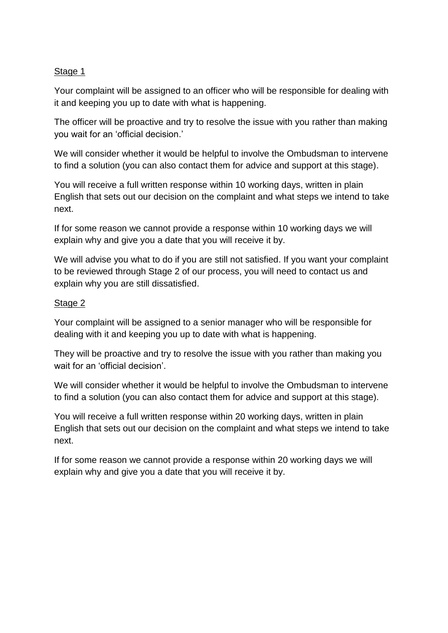## Stage 1

Your complaint will be assigned to an officer who will be responsible for dealing with it and keeping you up to date with what is happening.

The officer will be proactive and try to resolve the issue with you rather than making you wait for an 'official decision.'

We will consider whether it would be helpful to involve the Ombudsman to intervene to find a solution (you can also contact them for advice and support at this stage).

You will receive a full written response within 10 working days, written in plain English that sets out our decision on the complaint and what steps we intend to take next.

If for some reason we cannot provide a response within 10 working days we will explain why and give you a date that you will receive it by.

We will advise you what to do if you are still not satisfied. If you want your complaint to be reviewed through Stage 2 of our process, you will need to contact us and explain why you are still dissatisfied.

## Stage 2

Your complaint will be assigned to a senior manager who will be responsible for dealing with it and keeping you up to date with what is happening.

They will be proactive and try to resolve the issue with you rather than making you wait for an 'official decision'.

We will consider whether it would be helpful to involve the Ombudsman to intervene to find a solution (you can also contact them for advice and support at this stage).

You will receive a full written response within 20 working days, written in plain English that sets out our decision on the complaint and what steps we intend to take next.

If for some reason we cannot provide a response within 20 working days we will explain why and give you a date that you will receive it by.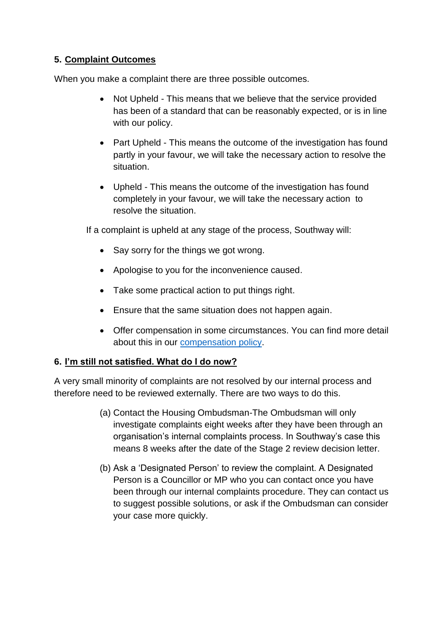# **5. Complaint Outcomes**

When you make a complaint there are three possible outcomes.

- Not Upheld This means that we believe that the service provided has been of a standard that can be reasonably expected, or is in line with our policy.
- Part Upheld This means the outcome of the investigation has found partly in your favour, we will take the necessary action to resolve the situation.
- Upheld This means the outcome of the investigation has found completely in your favour, we will take the necessary action to resolve the situation.

If a complaint is upheld at any stage of the process, Southway will:

- Say sorry for the things we got wrong.
- Apologise to you for the inconvenience caused.
- Take some practical action to put things right.
- Ensure that the same situation does not happen again.
- Offer compensation in some circumstances. You can find more detail about this in our [compensation policy.](https://www.southwayhousing.co.uk/media/2009/cor-pol-05-v50-july-2019-customer-compensation-policy-and-claims-procedure.pdf)

# **6. I'm still not satisfied. What do I do now?**

A very small minority of complaints are not resolved by our internal process and therefore need to be reviewed externally. There are two ways to do this.

- (a) Contact the Housing Ombudsman-The Ombudsman will only investigate complaints eight weeks after they have been through an organisation's internal complaints process. In Southway's case this means 8 weeks after the date of the Stage 2 review decision letter.
- (b) Ask a 'Designated Person' to review the complaint. A Designated Person is a Councillor or MP who you can contact once you have been through our internal complaints procedure. They can contact us to suggest possible solutions, or ask if the Ombudsman can consider your case more quickly.